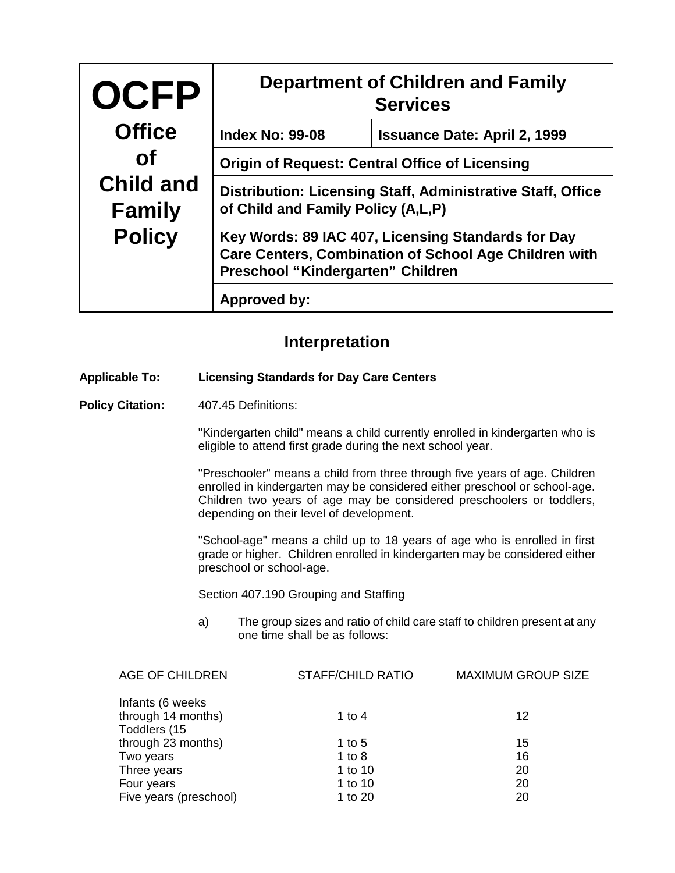| <b>OCFP</b>                       | <b>Department of Children and Family</b><br><b>Services</b>                                                                                             |                                     |  |
|-----------------------------------|---------------------------------------------------------------------------------------------------------------------------------------------------------|-------------------------------------|--|
| <b>Office</b>                     | <b>Index No: 99-08</b>                                                                                                                                  | <b>Issuance Date: April 2, 1999</b> |  |
| <b>of</b>                         | <b>Origin of Request: Central Office of Licensing</b>                                                                                                   |                                     |  |
| <b>Child and</b><br><b>Family</b> | Distribution: Licensing Staff, Administrative Staff, Office<br>of Child and Family Policy (A,L,P)                                                       |                                     |  |
| <b>Policy</b>                     | Key Words: 89 IAC 407, Licensing Standards for Day<br><b>Care Centers, Combination of School Age Children with</b><br>Preschool "Kindergarten" Children |                                     |  |
|                                   | Approved by:                                                                                                                                            |                                     |  |

## **Interpretation**

## **Applicable To: Licensing Standards for Day Care Centers**

Policy Citation: 407.45 Definitions:

"Kindergarten child" means a child currently enrolled in kindergarten who is eligible to attend first grade during the next school year.

"Preschooler" means a child from three through five years of age. Children enrolled in kindergarten may be considered either preschool or school-age. Children two years of age may be considered preschoolers or toddlers, depending on their level of development.

"School-age" means a child up to 18 years of age who is enrolled in first grade or higher. Children enrolled in kindergarten may be considered either preschool or school-age.

Section 407.190 Grouping and Staffing

a) The group sizes and ratio of child care staff to children present at any one time shall be as follows:

| AGE OF CHILDREN        | <b>STAFF/CHILD RATIO</b> | <b>MAXIMUM GROUP SIZE</b> |
|------------------------|--------------------------|---------------------------|
| Infants (6 weeks)      |                          |                           |
| through 14 months)     | 1 to 4                   | 12                        |
| Toddlers (15           |                          |                           |
| through 23 months)     | 1 to 5                   | 15                        |
| Two years              | 1 to $8$                 | 16                        |
| Three years            | 1 to 10                  | 20                        |
| Four years             | 1 to 10                  | 20                        |
| Five years (preschool) | 1 to 20                  | 20                        |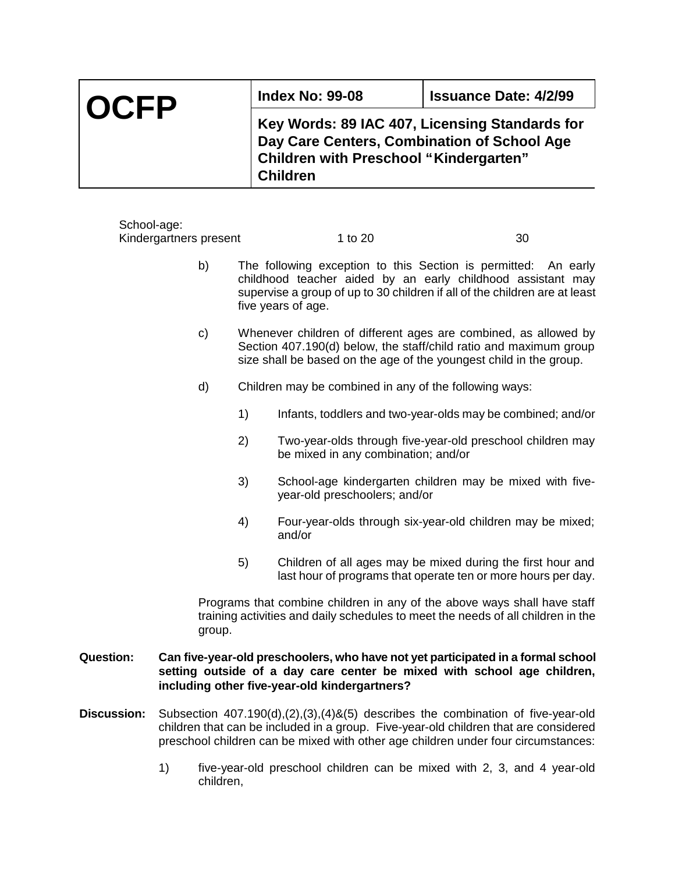| <b>OCFP</b> | <b>Index No: 99-08</b>                                                                                                                                            | <b>Issuance Date: 4/2/99</b> |
|-------------|-------------------------------------------------------------------------------------------------------------------------------------------------------------------|------------------------------|
|             | Key Words: 89 IAC 407, Licensing Standards for<br>Day Care Centers, Combination of School Age<br><b>Children with Preschool "Kindergarten"</b><br><b>Children</b> |                              |

| School-age:      | Kindergartners present |    | 1 to 20                                                                                                                                                                                                                           | 30 |
|------------------|------------------------|----|-----------------------------------------------------------------------------------------------------------------------------------------------------------------------------------------------------------------------------------|----|
|                  | b)                     |    | The following exception to this Section is permitted: An early<br>childhood teacher aided by an early childhood assistant may<br>supervise a group of up to 30 children if all of the children are at least<br>five years of age. |    |
|                  | c)                     |    | Whenever children of different ages are combined, as allowed by<br>Section 407.190(d) below, the staff/child ratio and maximum group<br>size shall be based on the age of the youngest child in the group.                        |    |
|                  | d)                     |    | Children may be combined in any of the following ways:                                                                                                                                                                            |    |
|                  |                        | 1) | Infants, toddlers and two-year-olds may be combined; and/or                                                                                                                                                                       |    |
|                  |                        | 2) | Two-year-olds through five-year-old preschool children may<br>be mixed in any combination; and/or                                                                                                                                 |    |
|                  |                        | 3) | School-age kindergarten children may be mixed with five-<br>year-old preschoolers; and/or                                                                                                                                         |    |
|                  |                        | 4) | Four-year-olds through six-year-old children may be mixed;<br>and/or                                                                                                                                                              |    |
|                  |                        | 5) | Children of all ages may be mixed during the first hour and<br>last hour of programs that operate ten or more hours per day.                                                                                                      |    |
|                  | group.                 |    | Programs that combine children in any of the above ways shall have staff<br>training activities and daily schedules to meet the needs of all children in the                                                                      |    |
| <b>Question:</b> |                        |    | Can five-year-old preschoolers, who have not yet participated in a formal school<br>setting outside of a day care center be mixed with school age children,<br>including other five-year-old kindergartners?                      |    |

- **Discussion:** Subsection 407.190(d),(2),(3),(4)&(5) describes the combination of five-year-old children that can be included in a group. Five-year-old children that are considered preschool children can be mixed with other age children under four circumstances:
	- 1) five-year-old preschool children can be mixed with 2, 3, and 4 year-old children,